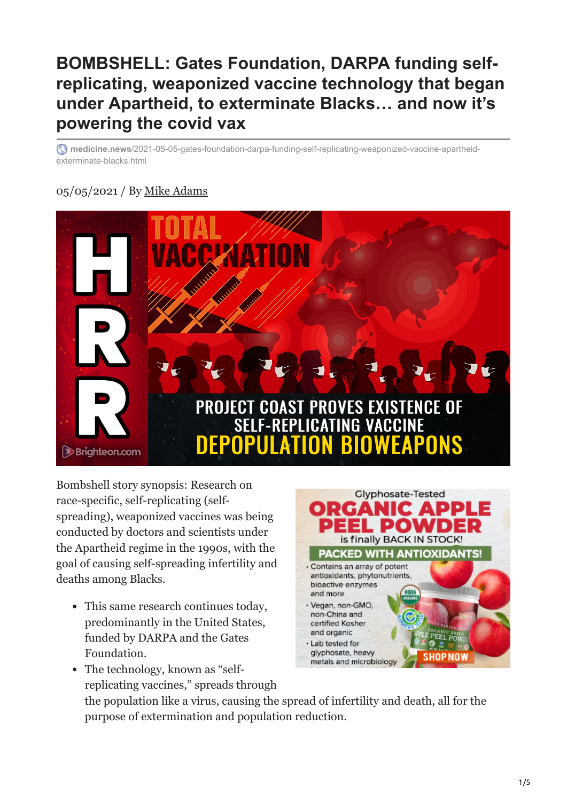# **BOMBSHELL: Gates Foundation, DARPA funding selfreplicating, weaponized vaccine technology that began under Apartheid, to exterminate Blacks… and now it's powering the covid vax**

**medicine.news**[/2021-05-05-gates-foundation-darpa-funding-self-replicating-weaponized-vaccine-apartheid](http://medicine.news/2021-05-05-gates-foundation-darpa-funding-self-replicating-weaponized-vaccine-apartheid-exterminate-blacks.html#)exterminate-blacks.html

### 05/05/2021 / By [Mike Adams](http://medicine.news/author/healthranger)



Bombshell story synopsis: Research on race-specific, self-replicating (selfspreading), weaponized vaccines was being conducted by doctors and scientists under the Apartheid regime in the 1990s, with the goal of causing self-spreading infertility and deaths among Blacks.

- This same research continues today, predominantly in the United States, funded by DARPA and the Gates Foundation.
- The technology, known as "selfreplicating vaccines," spreads through



the population like a virus, causing the spread of infertility and death, all for the purpose of extermination and population reduction.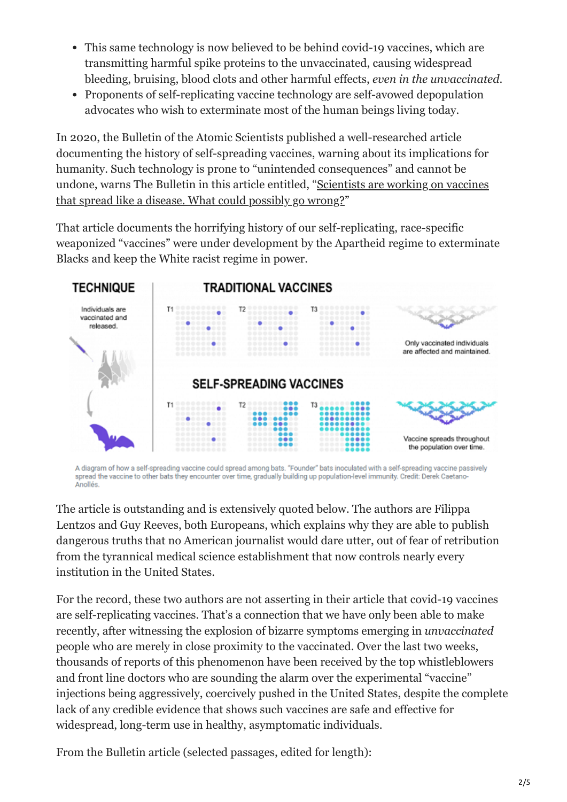- This same technology is now believed to be behind covid-19 vaccines, which are transmitting harmful spike proteins to the unvaccinated, causing widespread bleeding, bruising, blood clots and other harmful effects, *even in the unvaccinated*.
- Proponents of self-replicating vaccine technology are self-avowed depopulation advocates who wish to exterminate most of the human beings living today.

In 2020, the Bulletin of the Atomic Scientists published a well-researched article documenting the history of self-spreading vaccines, warning about its implications for humanity. Such technology is prone to "unintended consequences" and cannot be [undone, warns The Bulletin in this article entitled, "Scientists are working on vaccines](https://thebulletin.org/2020/09/scientists-are-working-on-vaccines-that-spread-like-a-disease-what-could-possibly-go-wrong/) that spread like a disease. What could possibly go wrong?"

That article documents the horrifying history of our self-replicating, race-specific weaponized "vaccines" were under development by the Apartheid regime to exterminate Blacks and keep the White racist regime in power.



A diagram of how a self-spreading vaccine could spread among bats. "Founder" bats inoculated with a self-spreading vaccine passively spread the vaccine to other bats they encounter over time, gradually building up population-level immunity. Credit: Derek Caetano-Anollés

The article is outstanding and is extensively quoted below. The authors are Filippa Lentzos and Guy Reeves, both Europeans, which explains why they are able to publish dangerous truths that no American journalist would dare utter, out of fear of retribution from the tyrannical medical science establishment that now controls nearly every institution in the United States.

For the record, these two authors are not asserting in their article that covid-19 vaccines are self-replicating vaccines. That's a connection that we have only been able to make recently, after witnessing the explosion of bizarre symptoms emerging in *unvaccinated* people who are merely in close proximity to the vaccinated. Over the last two weeks, thousands of reports of this phenomenon have been received by the top whistleblowers and front line doctors who are sounding the alarm over the experimental "vaccine" injections being aggressively, coercively pushed in the United States, despite the complete lack of any credible evidence that shows such vaccines are safe and effective for widespread, long-term use in healthy, asymptomatic individuals.

From the Bulletin article (selected passages, edited for length):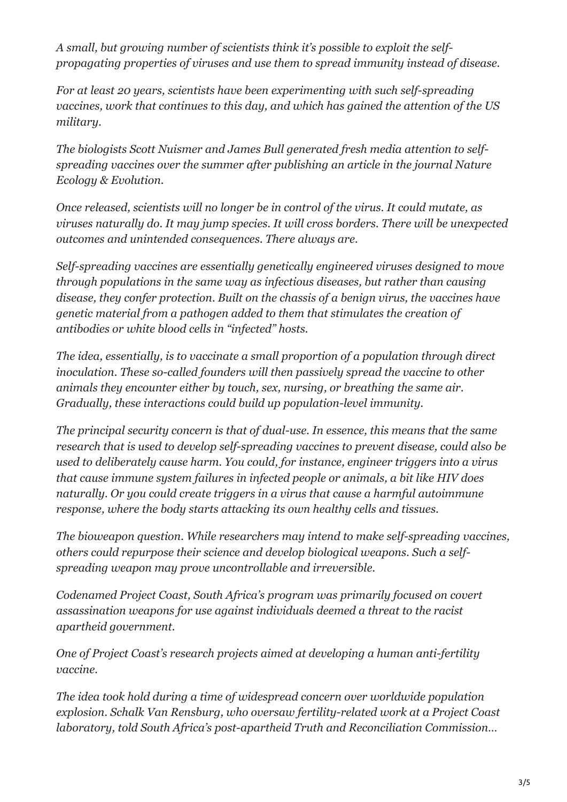*A small, but growing number of scientists think it's possible to exploit the selfpropagating properties of viruses and use them to spread immunity instead of disease.*

*For at least 20 years, scientists have been experimenting with such self-spreading vaccines, work that continues to this day, and which has gained the attention of the US military.*

*The biologists Scott Nuismer and James Bull generated fresh media attention to selfspreading vaccines over the summer after publishing an article in the journal Nature Ecology & Evolution.*

*Once released, scientists will no longer be in control of the virus. It could mutate, as viruses naturally do. It may jump species. It will cross borders. There will be unexpected outcomes and unintended consequences. There always are.*

*Self-spreading vaccines are essentially genetically engineered viruses designed to move through populations in the same way as infectious diseases, but rather than causing disease, they confer protection. Built on the chassis of a benign virus, the vaccines have genetic material from a pathogen added to them that stimulates the creation of antibodies or white blood cells in "infected" hosts.*

*The idea, essentially, is to vaccinate a small proportion of a population through direct inoculation. These so-called founders will then passively spread the vaccine to other animals they encounter either by touch, sex, nursing, or breathing the same air. Gradually, these interactions could build up population-level immunity.*

*The principal security concern is that of dual-use. In essence, this means that the same research that is used to develop self-spreading vaccines to prevent disease, could also be used to deliberately cause harm. You could, for instance, engineer triggers into a virus that cause immune system failures in infected people or animals, a bit like HIV does naturally. Or you could create triggers in a virus that cause a harmful autoimmune response, where the body starts attacking its own healthy cells and tissues.*

*The bioweapon question. While researchers may intend to make self-spreading vaccines, others could repurpose their science and develop biological weapons. Such a selfspreading weapon may prove uncontrollable and irreversible.*

*Codenamed Project Coast, South Africa's program was primarily focused on covert assassination weapons for use against individuals deemed a threat to the racist apartheid government.*

*One of Project Coast's research projects aimed at developing a human anti-fertility vaccine.*

*The idea took hold during a time of widespread concern over worldwide population explosion. Schalk Van Rensburg, who oversaw fertility-related work at a Project Coast laboratory, told South Africa's post-apartheid Truth and Reconciliation Commission…*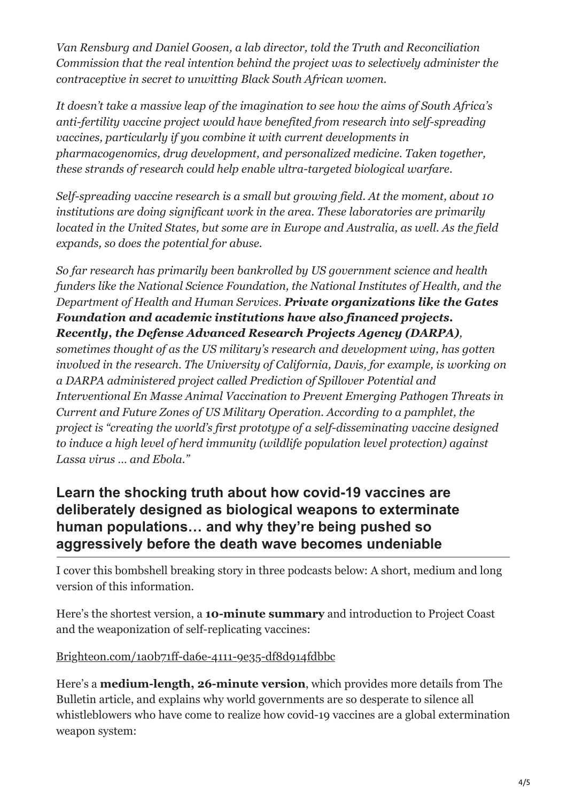*Van Rensburg and Daniel Goosen, a lab director, told the Truth and Reconciliation Commission that the real intention behind the project was to selectively administer the contraceptive in secret to unwitting Black South African women.*

*It doesn't take a massive leap of the imagination to see how the aims of South Africa's anti-fertility vaccine project would have benefited from research into self-spreading vaccines, particularly if you combine it with current developments in pharmacogenomics, drug development, and personalized medicine. Taken together, these strands of research could help enable ultra-targeted biological warfare.*

*Self-spreading vaccine research is a small but growing field. At the moment, about 10 institutions are doing significant work in the area. These laboratories are primarily located in the United States, but some are in Europe and Australia, as well. As the field expands, so does the potential for abuse.*

*So far research has primarily been bankrolled by US government science and health funders like the National Science Foundation, the National Institutes of Health, and the Department of Health and Human Services. Private organizations like the Gates Foundation and academic institutions have also financed projects. Recently, the Defense Advanced Research Projects Agency (DARPA),*

*sometimes thought of as the US military's research and development wing, has gotten involved in the research. The University of California, Davis, for example, is working on a DARPA administered project called Prediction of Spillover Potential and Interventional En Masse Animal Vaccination to Prevent Emerging Pathogen Threats in Current and Future Zones of US Military Operation. According to a pamphlet, the project is "creating the world's first prototype of a self-disseminating vaccine designed to induce a high level of herd immunity (wildlife population level protection) against Lassa virus … and Ebola."*

## **Learn the shocking truth about how covid-19 vaccines are deliberately designed as biological weapons to exterminate human populations… and why they're being pushed so aggressively before the death wave becomes undeniable**

I cover this bombshell breaking story in three podcasts below: A short, medium and long version of this information.

Here's the shortest version, a **10-minute summary** and introduction to Project Coast and the weaponization of self-replicating vaccines:

#### [Brighteon.com/1a0b71ff-da6e-4111-9e35-df8d914fdbbc](http://brighteon.com/1a0b71ff-da6e-4111-9e35-df8d914fdbbc)

Here's a **medium-length, 26-minute version**, which provides more details from The Bulletin article, and explains why world governments are so desperate to silence all whistleblowers who have come to realize how covid-19 vaccines are a global extermination weapon system: